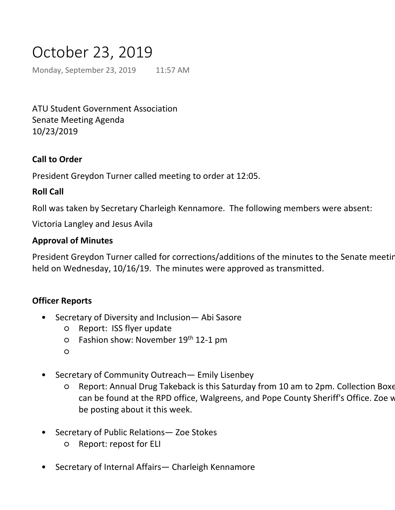# October 23, 2019

Monday, September 23, 2019 11:57 AM

ATU Student Government Association Senate Meeting Agenda 10/23/2019

## **Call to Order**

President Greydon Turner called meeting to order at 12:05.

#### **Roll Call**

Roll was taken by Secretary Charleigh Kennamore. The following members were absent:

Victoria Langley and Jesus Avila

#### **Approval of Minutes**

President Greydon Turner called for corrections/additions of the minutes to the Senate meeting held on Wednesday, 10/16/19. The minutes were approved as transmitted.

#### **Officer Reports**

- Secretary of Diversity and Inclusion— Abi Sasore •
	- Report: ISS flyer update
	- o Fashion show: November 19<sup>th</sup> 12-1 pm
	- $\circ$
- Secretary of Community Outreach— Emily Lisenbey •
	- Report: Annual Drug Takeback is this Saturday from 10 am to 2pm. Collection Boxes can be found at the RPD office, Walgreens, and Pope County Sheriff's Office. Zoe w be posting about it this week. ○
- Secretary of Public Relations— Zoe Stokes •
	- Report: repost for ELI
- Secretary of Internal Affairs— Charleigh Kennamore •
	- Report: No report

Report:

Secretary of Student Development— Jacob Loomis •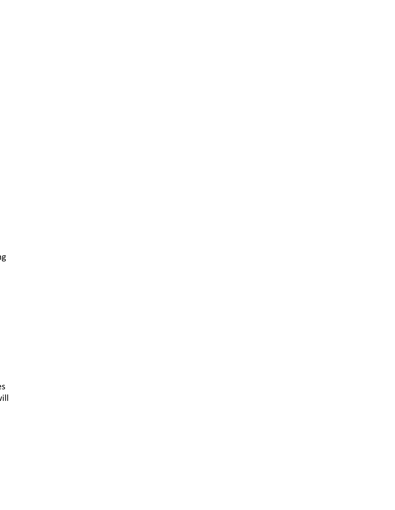er<br>I

 $2S$  $\mu$ ill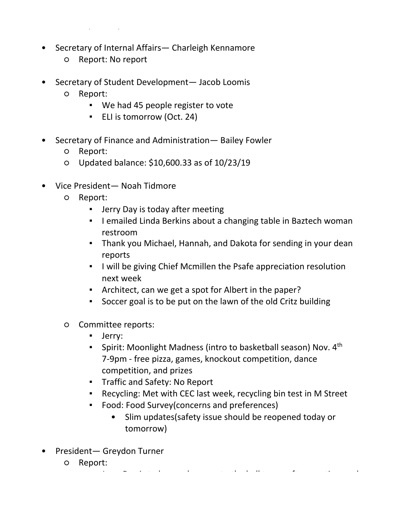- Secretary of Public Relations— Zoe Stokes •
- Secretary of Internal Affairs— Charleigh Kennamore •
	- Report: No report

 $\mathcal{L}^{\text{max}}_{\text{max}}$ 

- Secretary of Student Development— Jacob Loomis  $\bullet$ 
	- Report: ○
		- We had 45 people register to vote
		- ELI is tomorrow (Oct. 24)
- Secretary of Finance and Administration— Bailey Fowler •
	- Report:
	- Updated balance: \$10,600.33 as of 10/23/19
- Vice President— Noah Tidmore •
	- Report:  $\Omega$ 
		- **•** Jerry Day is today after meeting
		- **.** I emailed Linda Berkins about a changing table in Baztech woman restroom
		- **Thank you Michael, Hannah, and Dakota for sending in your dean** reports
		- **.** I will be giving Chief Mcmillen the Psafe appreciation resolution next week
		- Architect, can we get a spot for Albert in the paper?
		- Soccer goal is to be put on the lawn of the old Critz building
	- Committee reports:  $\circ$ 
		- Jerry:
		- Spirit: Moonlight Madness (intro to basketball season) Nov. 4<sup>th</sup> 7-9pm - free pizza, games, knockout competition, dance competition, and prizes
		- Traffic and Safety: No Report
		- Recycling: Met with CEC last week, recycling bin test in M Street
		- **•** Food: Food Survey(concerns and preferences)
			- Slim updates(safety issue should be reopened today or tomorrow) •
- President— Greydon Turner •
	- Report:  $\overline{O}$ 
		- Congratulate Brittany and Payton for getting 22 people registered to vote.

Jerry Day is today so please go to the bell tower after meeting, and